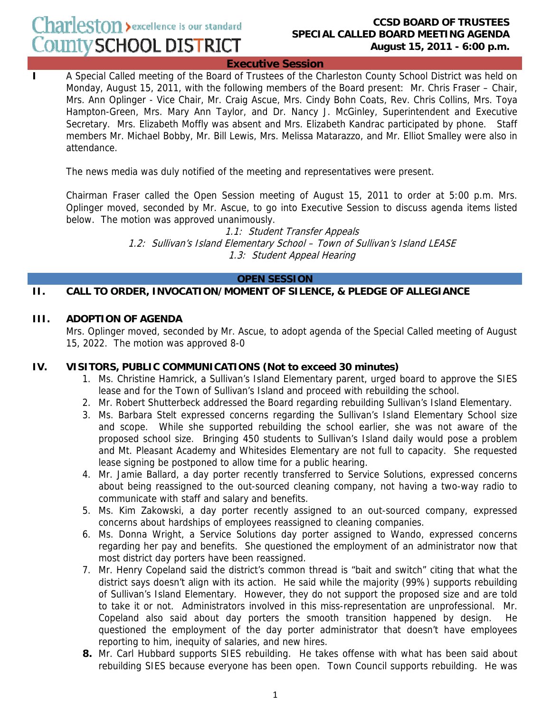### **CCSD BOARD OF TRUSTEES SPECIAL CALLED BOARD MEETING AGENDA August 15, 2011 - 6:00 p.m.**

**Executive Session**

**I** A Special Called meeting of the Board of Trustees of the Charleston County School District was held on Monday, August 15, 2011, with the following members of the Board present: Mr. Chris Fraser – Chair, Mrs. Ann Oplinger - Vice Chair, Mr. Craig Ascue, Mrs. Cindy Bohn Coats, Rev. Chris Collins, Mrs. Toya Hampton-Green, Mrs. Mary Ann Taylor, and Dr. Nancy J. McGinley, Superintendent and Executive Secretary. Mrs. Elizabeth Moffly was absent and Mrs. Elizabeth Kandrac participated by phone. Staff members Mr. Michael Bobby, Mr. Bill Lewis, Mrs. Melissa Matarazzo, and Mr. Elliot Smalley were also in attendance.

The news media was duly notified of the meeting and representatives were present.

Chairman Fraser called the Open Session meeting of August 15, 2011 to order at 5:00 p.m. Mrs. Oplinger moved, seconded by Mr. Ascue, to go into Executive Session to discuss agenda items listed below. The motion was approved unanimously.

> 1.1: Student Transfer Appeals 1.2: Sullivan's Island Elementary School – Town of Sullivan's Island LEASE 1.3: Student Appeal Hearing

## **OPEN SESSION**

## **II. CALL TO ORDER, INVOCATION/MOMENT OF SILENCE, & PLEDGE OF ALLEGIANCE**

#### **III. ADOPTION OF AGENDA**

Mrs. Oplinger moved, seconded by Mr. Ascue, to adopt agenda of the Special Called meeting of August 15, 2022. The motion was approved 8-0

## **IV. VISITORS, PUBLIC COMMUNICATIONS (Not to exceed 30 minutes)**

- 1. Ms. Christine Hamrick, a Sullivan's Island Elementary parent, urged board to approve the SIES lease and for the Town of Sullivan's Island and proceed with rebuilding the school.
- 2. Mr. Robert Shutterbeck addressed the Board regarding rebuilding Sullivan's Island Elementary.
- 3. Ms. Barbara Stelt expressed concerns regarding the Sullivan's Island Elementary School size and scope. While she supported rebuilding the school earlier, she was not aware of the proposed school size. Bringing 450 students to Sullivan's Island daily would pose a problem and Mt. Pleasant Academy and Whitesides Elementary are not full to capacity. She requested lease signing be postponed to allow time for a public hearing.
- 4. Mr. Jamie Ballard, a day porter recently transferred to Service Solutions, expressed concerns about being reassigned to the out-sourced cleaning company, not having a two-way radio to communicate with staff and salary and benefits.
- 5. Ms. Kim Zakowski, a day porter recently assigned to an out-sourced company, expressed concerns about hardships of employees reassigned to cleaning companies.
- 6. Ms. Donna Wright, a Service Solutions day porter assigned to Wando, expressed concerns regarding her pay and benefits. She questioned the employment of an administrator now that most district day porters have been reassigned.
- 7. Mr. Henry Copeland said the district's common thread is "bait and switch" citing that what the district says doesn't align with its action. He said while the majority (99%) supports rebuilding of Sullivan's Island Elementary. However, they do not support the proposed size and are told to take it or not. Administrators involved in this miss-representation are unprofessional. Mr. Copeland also said about day porters the smooth transition happened by design. He questioned the employment of the day porter administrator that doesn't have employees reporting to him, inequity of salaries, and new hires.
- **8.** Mr. Carl Hubbard supports SIES rebuilding. He takes offense with what has been said about rebuilding SIES because everyone has been open. Town Council supports rebuilding. He was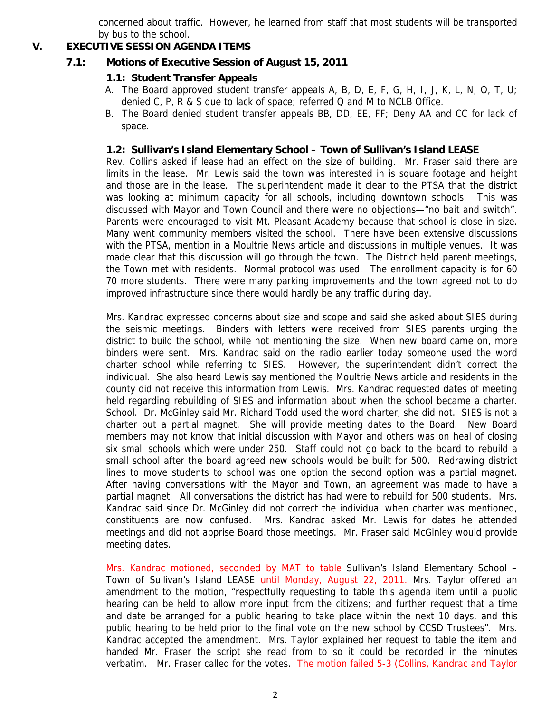concerned about traffic. However, he learned from staff that most students will be transported by bus to the school.

# **V. EXECUTIVE SESSION AGENDA ITEMS**

# **7.1: Motions of Executive Session of August 15, 2011**

## **1.1: Student Transfer Appeals**

- A. The Board approved student transfer appeals A, B, D, E, F, G, H, I, J, K, L, N, O, T, U; denied C, P, R & S due to lack of space; referred Q and M to NCLB Office.
- B. The Board denied student transfer appeals BB, DD, EE, FF; Deny AA and CC for lack of space.

### **1.2: Sullivan's Island Elementary School – Town of Sullivan's Island LEASE**

Rev. Collins asked if lease had an effect on the size of building. Mr. Fraser said there are limits in the lease. Mr. Lewis said the town was interested in is square footage and height and those are in the lease. The superintendent made it clear to the PTSA that the district was looking at minimum capacity for all schools, including downtown schools. This was discussed with Mayor and Town Council and there were no objections—"no bait and switch". Parents were encouraged to visit Mt. Pleasant Academy because that school is close in size. Many went community members visited the school. There have been extensive discussions with the PTSA, mention in a Moultrie News article and discussions in multiple venues. It was made clear that this discussion will go through the town. The District held parent meetings, the Town met with residents. Normal protocol was used. The enrollment capacity is for 60 70 more students. There were many parking improvements and the town agreed not to do improved infrastructure since there would hardly be any traffic during day.

Mrs. Kandrac expressed concerns about size and scope and said she asked about SIES during the seismic meetings. Binders with letters were received from SIES parents urging the district to build the school, while not mentioning the size. When new board came on, more binders were sent. Mrs. Kandrac said on the radio earlier today someone used the word charter school while referring to SIES. However, the superintendent didn't correct the individual. She also heard Lewis say mentioned the Moultrie News article and residents in the county did not receive this information from Lewis. Mrs. Kandrac requested dates of meeting held regarding rebuilding of SIES and information about when the school became a charter. School. Dr. McGinley said Mr. Richard Todd used the word charter, she did not. SIES is not a charter but a partial magnet. She will provide meeting dates to the Board. New Board members may not know that initial discussion with Mayor and others was on heal of closing six small schools which were under 250. Staff could not go back to the board to rebuild a small school after the board agreed new schools would be built for 500. Redrawing district lines to move students to school was one option the second option was a partial magnet. After having conversations with the Mayor and Town, an agreement was made to have a partial magnet. All conversations the district has had were to rebuild for 500 students. Mrs. Kandrac said since Dr. McGinley did not correct the individual when charter was mentioned, constituents are now confused. Mrs. Kandrac asked Mr. Lewis for dates he attended meetings and did not apprise Board those meetings. Mr. Fraser said McGinley would provide meeting dates.

Mrs. Kandrac motioned, seconded by MAT to table Sullivan's Island Elementary School – Town of Sullivan's Island LEASE until Monday, August 22, 2011. Mrs. Taylor offered an amendment to the motion, "respectfully requesting to table this agenda item until a public hearing can be held to allow more input from the citizens; and further request that a time and date be arranged for a public hearing to take place within the next 10 days, and this public hearing to be held prior to the final vote on the new school by CCSD Trustees". Mrs. Kandrac accepted the amendment. Mrs. Taylor explained her request to table the item and handed Mr. Fraser the script she read from to so it could be recorded in the minutes verbatim. Mr. Fraser called for the votes. The motion failed 5-3 (Collins, Kandrac and Taylor